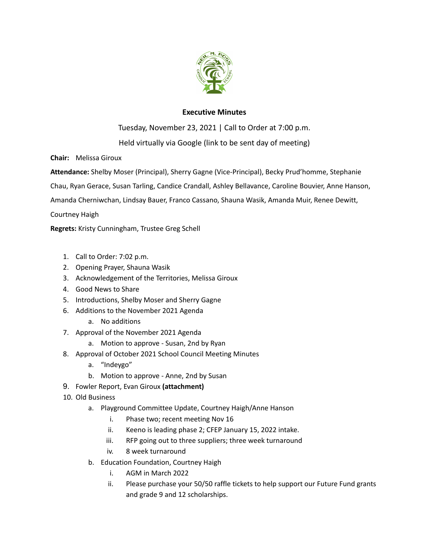

# **Executive Minutes**

Tuesday, November 23, 2021 | Call to Order at 7:00 p.m.

Held virtually via Google (link to be sent day of meeting)

**Chair:** Melissa Giroux

**Attendance:** Shelby Moser (Principal), Sherry Gagne (Vice-Principal), Becky Prud'homme, Stephanie

Chau, Ryan Gerace, Susan Tarling, Candice Crandall, Ashley Bellavance, Caroline Bouvier, Anne Hanson,

Amanda Cherniwchan, Lindsay Bauer, Franco Cassano, Shauna Wasik, Amanda Muir, Renee Dewitt,

Courtney Haigh

**Regrets:** Kristy Cunningham, Trustee Greg Schell

- 1. Call to Order: 7:02 p.m.
- 2. Opening Prayer, Shauna Wasik
- 3. Acknowledgement of the Territories, Melissa Giroux
- 4. Good News to Share
- 5. Introductions, Shelby Moser and Sherry Gagne
- 6. Additions to the November 2021 Agenda
	- a. No additions
- 7. Approval of the November 2021 Agenda
	- a. Motion to approve Susan, 2nd by Ryan
- 8. Approval of October 2021 School Council Meeting Minutes
	- a. "Indeygo"
	- b. Motion to approve Anne, 2nd by Susan
- 9. Fowler Report, Evan Giroux **(attachment)**
- 10. Old Business
	- a. Playground Committee Update, Courtney Haigh/Anne Hanson
		- i. Phase two; recent meeting Nov 16
		- ii. Keeno is leading phase 2; CFEP January 15, 2022 intake.
		- iii. RFP going out to three suppliers; three week turnaround
		- iv. 8 week turnaround
	- b. Education Foundation, Courtney Haigh
		- i. AGM in March 2022
		- ii. Please purchase your 50/50 raffle tickets to help support our Future Fund grants and grade 9 and 12 scholarships.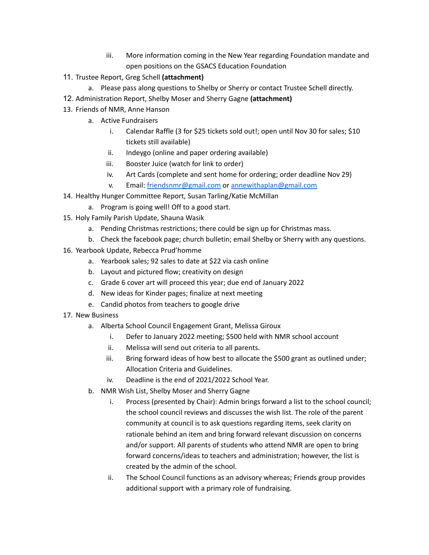- iii. More information coming in the New Year regarding Foundation mandate and open positions on the GSACS Education Foundation
- 11. Trustee Report, Greg Schell **(attachment)**
	- a. Please pass along questions to Shelby or Sherry or contact Trustee Schell directly.
- 12. Administration Report, Shelby Moser and Sherry Gagne **(attachment)**
- 13. Friends of NMR, Anne Hanson
	- a. Active Fundraisers
		- i. Calendar Raffle (3 for \$25 tickets sold out!; open until Nov 30 for sales; \$10 tickets still available)
		- ii. Indeygo (online and paper ordering available)
		- iii. Booster Juice (watch for link to order)
		- iv. Art Cards (complete and sent home for ordering; order deadline Nov 29)
		- v. Email: [friendsnmr@gmail.com](mailto:friendsnmr@gmail.com) or [annewithaplan@gmail.com](mailto:annewithaplan@gmail.com)
- 14. Healthy Hunger Committee Report, Susan Tarling/Katie McMillan
- a. Program is going well! Off to a good start.
- 15. Holy Family Parish Update, Shauna Wasik
	- a. Pending Christmas restrictions; there could be sign up for Christmas mass.
	- b. Check the facebook page; church bulletin; email Shelby or Sherry with any questions.
- 16. Yearbook Update, Rebecca Prud'homme
	- a. Yearbook sales; 92 sales to date at \$22 via cash online
	- b. Layout and pictured flow; creativity on design
	- c. Grade 6 cover art will proceed this year; due end of January 2022
	- d. New ideas for Kinder pages; finalize at next meeting
	- e. Candid photos from teachers to google drive
- 17. New Business
	- a. Alberta School Council Engagement Grant, Melissa Giroux
		- i. Defer to January 2022 meeting; \$500 held with NMR school account
		- ii. Melissa will send out criteria to all parents.
		- iii. Bring forward ideas of how best to allocate the \$500 grant as outlined under; Allocation Criteria and Guidelines.
		- iv. Deadline is the end of 2021/2022 School Year.
	- b. NMR Wish List, Shelby Moser and Sherry Gagne
		- i. Process (presented by Chair): Admin brings forward a list to the school council; the school council reviews and discusses the wish list. The role of the parent community at council is to ask questions regarding items, seek clarity on rationale behind an item and bring forward relevant discussion on concerns and/or support. All parents of students who attend NMR are open to bring forward concerns/ideas to teachers and administration; however, the list is created by the admin of the school.
		- ii. The School Council functions as an advisory whereas; Friends group provides additional support with a primary role of fundraising.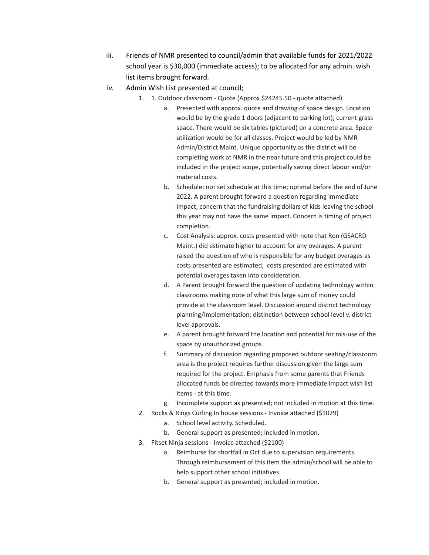- iii. Friends of NMR presented to council/admin that available funds for 2021/2022 school year is \$30,000 (immediate access); to be allocated for any admin. wish list items brought forward.
- iv. Admin Wish List presented at council;
	- 1. 1. Outdoor classroom Quote (Approx \$24245.50 quote attached)
		- a. Presented with approx. quote and drawing of space design. Location would be by the grade 1 doors (adjacent to parking lot); current grass space. There would be six tables (pictured) on a concrete area. Space utilization would be for all classes. Project would be led by NMR Admin/District Maint. Unique opportunity as the district will be completing work at NMR in the near future and this project could be included in the project scope, potentially saving direct labour and/or material costs.
		- b. Schedule: not set schedule at this time; optimal before the end of June 2022. A parent brought forward a question regarding immediate impact; concern that the fundraising dollars of kids leaving the school this year may not have the same impact. Concern is timing of project completion.
		- c. Cost Analysis: approx. costs presented with note that Ron (GSACRD Maint.) did estimate higher to account for any overages. A parent raised the question of who is responsible for any budget overages as costs presented are estimated; costs presented are estimated with potential overages taken into consideration.
		- d. A Parent brought forward the question of updating technology within classrooms making note of what this large sum of money could provide at the classroom level. Discussion around district technology planning/implementation; distinction between school level v. district level approvals.
		- e. A parent brought forward the location and potential for mis-use of the space by unauthorized groups.
		- f. Summary of discussion regarding proposed outdoor seating/classroom area is the project requires further discussion given the large sum required for the project. Emphasis from some parents that Friends allocated funds be directed towards more immediate impact wish list items - at this time.
		- g. Incomplete support as presented; not included in motion at this time.
	- 2. Rocks & Rings Curling In house sessions Invoice attached (\$1029)
		- a. School level activity. Scheduled.
		- b. General support as presented; included in motion.
	- 3. Fitset Ninja sessions Invoice attached (\$2100)
		- a. Reimburse for shortfall in Oct due to supervision requirements. Through reimbursement of this item the admin/school will be able to help support other school initiatives.
		- b. General support as presented; included in motion.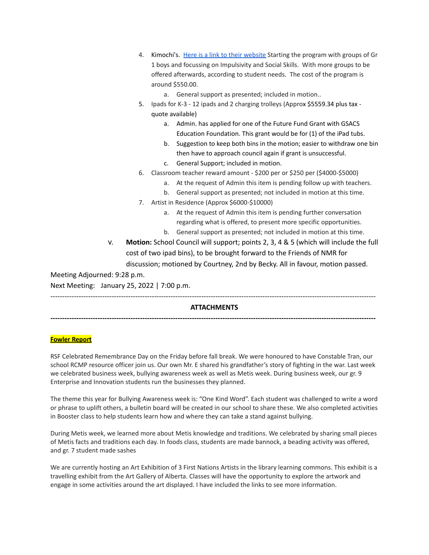|                              | 4.                                                                                   | Kimochi's. Here is a link to their website Starting the program with groups of Gr |
|------------------------------|--------------------------------------------------------------------------------------|-----------------------------------------------------------------------------------|
|                              |                                                                                      | 1 boys and focussing on Impulsivity and Social Skills. With more groups to be     |
|                              |                                                                                      | offered afterwards, according to student needs. The cost of the program is        |
|                              |                                                                                      | around \$550.00.                                                                  |
|                              |                                                                                      | a. General support as presented; included in motion                               |
|                              | 5.                                                                                   | Ipads for K-3 - 12 ipads and 2 charging trolleys (Approx \$5559.34 plus tax -     |
|                              |                                                                                      | quote available)                                                                  |
|                              |                                                                                      | Admin. has applied for one of the Future Fund Grant with GSACS<br>a.              |
|                              |                                                                                      | Education Foundation. This grant would be for (1) of the iPad tubs.               |
|                              |                                                                                      | Suggestion to keep both bins in the motion; easier to withdraw one bin<br>b.      |
|                              |                                                                                      | then have to approach council again if grant is unsuccessful.                     |
|                              |                                                                                      | General Support; included in motion.<br>$C_{\bullet}$                             |
|                              | 6.                                                                                   | Classroom teacher reward amount - \$200 per or \$250 per (\$4000-\$5000)          |
|                              |                                                                                      | At the request of Admin this item is pending follow up with teachers.<br>a.       |
|                              |                                                                                      | General support as presented; not included in motion at this time.<br>b.          |
|                              | 7.                                                                                   | Artist in Residence (Approx \$6000-\$10000)                                       |
|                              |                                                                                      | At the request of Admin this item is pending further conversation<br>a.           |
|                              |                                                                                      | regarding what is offered, to present more specific opportunities.                |
|                              |                                                                                      | General support as presented; not included in motion at this time.<br>b.          |
| V.                           | Motion: School Council will support; points 2, 3, 4 & 5 (which will include the full |                                                                                   |
|                              |                                                                                      | cost of two ipad bins), to be brought forward to the Friends of NMR for           |
|                              |                                                                                      | discussion; motioned by Courtney, 2nd by Becky. All in favour, motion passed.     |
| Meeting Adjourned: 9:28 p.m. |                                                                                      |                                                                                   |
|                              |                                                                                      |                                                                                   |

Next Meeting: January 25, 2022 | 7:00 p.m.

## ------------------------------------------------------------------------------------------------------------------------------------------ **ATTACHMENTS**

**------------------------------------------------------------------------------------------------------------------------------------------**

## **Fowler Report**

RSF Celebrated Remembrance Day on the Friday before fall break. We were honoured to have Constable Tran, our school RCMP resource officer join us. Our own Mr. E shared his grandfather's story of fighting in the war. Last week we celebrated business week, bullying awareness week as well as Metis week. During business week, our gr. 9 Enterprise and Innovation students run the businesses they planned.

The theme this year for Bullying Awareness week is: "One Kind Word". Each student was challenged to write a word or phrase to uplift others, a bulletin board will be created in our school to share these. We also completed activities in Booster class to help students learn how and where they can take a stand against bullying.

During Metis week, we learned more about Metis knowledge and traditions. We celebrated by sharing small pieces of Metis facts and traditions each day. In foods class, students are made bannock, a beading activity was offered, and gr. 7 student made sashes

We are currently hosting an Art Exhibition of 3 First Nations Artists in the library learning commons. This exhibit is a travelling exhibit from the Art Gallery of Alberta. Classes will have the opportunity to explore the artwork and engage in some activities around the art displayed. I have included the links to see more information.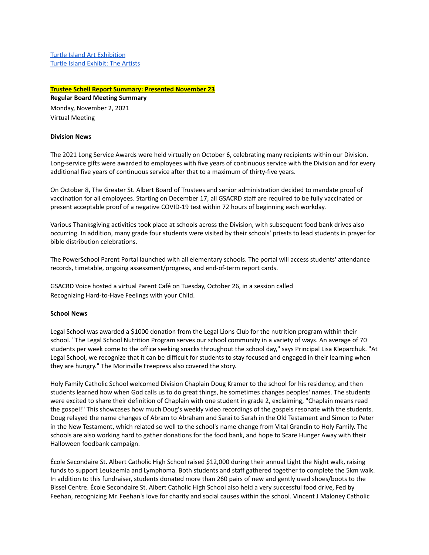Turtle Island Art [Exhibition](https://www.youraga.ca/exhibitions/turtle-island) Turtle Island [Exhibit:](https://www.youraga.ca/sites/default/files/file/2020-09/Turtle%20Island%20brochure-compressed.pdf) The Artists

## **Trustee Schell Report Summary: Presented November 23**

**Regular Board Meeting Summary** Monday, November 2, 2021

Virtual Meeting

#### **Division News**

The 2021 Long Service Awards were held virtually on October 6, celebrating many recipients within our Division. Long-service gifts were awarded to employees with five years of continuous service with the Division and for every additional five years of continuous service after that to a maximum of thirty-five years.

On October 8, The Greater St. Albert Board of Trustees and senior administration decided to mandate proof of vaccination for all employees. Starting on December 17, all GSACRD staff are required to be fully vaccinated or present acceptable proof of a negative COVID-19 test within 72 hours of beginning each workday.

Various Thanksgiving activities took place at schools across the Division, with subsequent food bank drives also occurring. In addition, many grade four students were visited by their schools' priests to lead students in prayer for bible distribution celebrations.

The PowerSchool Parent Portal launched with all elementary schools. The portal will access students' attendance records, timetable, ongoing assessment/progress, and end-of-term report cards.

GSACRD Voice hosted a virtual Parent Café on Tuesday, October 26, in a session called Recognizing Hard-to-Have Feelings with your Child.

#### **School News**

Legal School was awarded a \$1000 donation from the Legal Lions Club for the nutrition program within their school. "The Legal School Nutrition Program serves our school community in a variety of ways. An average of 70 students per week come to the office seeking snacks throughout the school day," says Principal Lisa Kleparchuk. "At Legal School, we recognize that it can be difficult for students to stay focused and engaged in their learning when they are hungry." The Morinville Freepress also covered the story.

Holy Family Catholic School welcomed Division Chaplain Doug Kramer to the school for his residency, and then students learned how when God calls us to do great things, he sometimes changes peoples' names. The students were excited to share their definition of Chaplain with one student in grade 2, exclaiming, "Chaplain means read the gospel!" This showcases how much Doug's weekly video recordings of the gospels resonate with the students. Doug relayed the name changes of Abram to Abraham and Sarai to Sarah in the Old Testament and Simon to Peter in the New Testament, which related so well to the school's name change from Vital Grandin to Holy Family. The schools are also working hard to gather donations for the food bank, and hope to Scare Hunger Away with their Halloween foodbank campaign.

École Secondaire St. Albert Catholic High School raised \$12,000 during their annual Light the Night walk, raising funds to support Leukaemia and Lymphoma. Both students and staff gathered together to complete the 5km walk. In addition to this fundraiser, students donated more than 260 pairs of new and gently used shoes/boots to the Bissel Centre. École Secondaire St. Albert Catholic High School also held a very successful food drive, Fed by Feehan, recognizing Mr. Feehan's love for charity and social causes within the school. Vincent J Maloney Catholic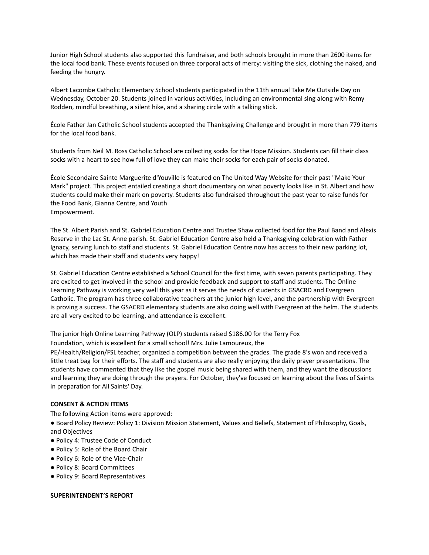Junior High School students also supported this fundraiser, and both schools brought in more than 2600 items for the local food bank. These events focused on three corporal acts of mercy: visiting the sick, clothing the naked, and feeding the hungry.

Albert Lacombe Catholic Elementary School students participated in the 11th annual Take Me Outside Day on Wednesday, October 20. Students joined in various activities, including an environmental sing along with Remy Rodden, mindful breathing, a silent hike, and a sharing circle with a talking stick.

École Father Jan Catholic School students accepted the Thanksgiving Challenge and brought in more than 779 items for the local food bank.

Students from Neil M. Ross Catholic School are collecting socks for the Hope Mission. Students can fill their class socks with a heart to see how full of love they can make their socks for each pair of socks donated.

École Secondaire Sainte Marguerite d'Youville is featured on The United Way Website for their past "Make Your Mark" project. This project entailed creating a short documentary on what poverty looks like in St. Albert and how students could make their mark on poverty. Students also fundraised throughout the past year to raise funds for the Food Bank, Gianna Centre, and Youth Empowerment.

The St. Albert Parish and St. Gabriel Education Centre and Trustee Shaw collected food for the Paul Band and Alexis Reserve in the Lac St. Anne parish. St. Gabriel Education Centre also held a Thanksgiving celebration with Father Ignacy, serving lunch to staff and students. St. Gabriel Education Centre now has access to their new parking lot, which has made their staff and students very happy!

St. Gabriel Education Centre established a School Council for the first time, with seven parents participating. They are excited to get involved in the school and provide feedback and support to staff and students. The Online Learning Pathway is working very well this year as it serves the needs of students in GSACRD and Evergreen Catholic. The program has three collaborative teachers at the junior high level, and the partnership with Evergreen is proving a success. The GSACRD elementary students are also doing well with Evergreen at the helm. The students are all very excited to be learning, and attendance is excellent.

The junior high Online Learning Pathway (OLP) students raised \$186.00 for the Terry Fox

Foundation, which is excellent for a small school! Mrs. Julie Lamoureux, the

PE/Health/Religion/FSL teacher, organized a competition between the grades. The grade 8's won and received a little treat bag for their efforts. The staff and students are also really enjoying the daily prayer presentations. The students have commented that they like the gospel music being shared with them, and they want the discussions and learning they are doing through the prayers. For October, they've focused on learning about the lives of Saints in preparation for All Saints' Day.

## **CONSENT & ACTION ITEMS**

The following Action items were approved:

● Board Policy Review: Policy 1: Division Mission Statement, Values and Beliefs, Statement of Philosophy, Goals, and Objectives

- Policy 4: Trustee Code of Conduct
- Policy 5: Role of the Board Chair
- Policy 6: Role of the Vice-Chair
- Policy 8: Board Committees
- Policy 9: Board Representatives

#### **SUPERINTENDENT'S REPORT**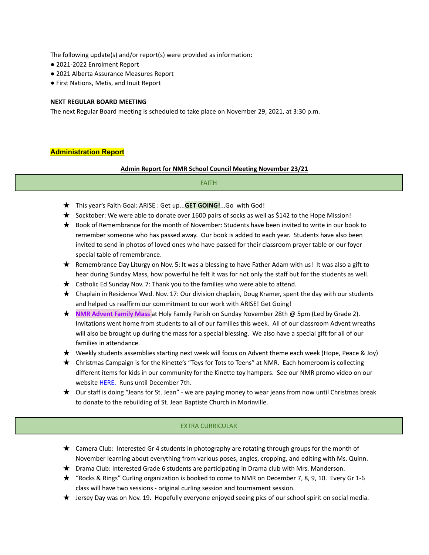The following update(s) and/or report(s) were provided as information:

- 2021-2022 Enrolment Report
- 2021 Alberta Assurance Measures Report
- First Nations, Metis, and Inuit Report

#### **NEXT REGULAR BOARD MEETING**

The next Regular Board meeting is scheduled to take place on November 29, 2021, at 3:30 p.m.

## **Administration Report**

## **Admin Report for NMR School Council Meeting November 23/21**

## FAITH

- ★ This year's Faith Goal: ARISE : Get up...**GET GOING!**...Go with God!
- ★ Socktober: We were able to donate over 1600 pairs of socks as well as \$142 to the Hope Mission!
- ★ Book of Remembrance for the month of November: Students have been invited to write in our book to remember someone who has passed away. Our book is added to each year. Students have also been invited to send in photos of loved ones who have passed for their classroom prayer table or our foyer special table of remembrance.
- ★ Remembrance Day Liturgy on Nov. 5: It was a blessing to have Father Adam with us! It was also a gift to hear during Sunday Mass, how powerful he felt it was for not only the staff but for the students as well.
- ★ Catholic Ed Sunday Nov. 7: Thank you to the families who were able to attend.
- $\star$  Chaplain in Residence Wed. Nov. 17: Our division chaplain, Doug Kramer, spent the day with our students and helped us reaffirm our commitment to our work with ARISE! Get Going!
- ★ **NMR Advent Family Mass** at Holy Family Parish on Sunday November 28th @ 5pm (Led by Grade 2). Invitations went home from students to all of our families this week. All of our classroom Advent wreaths will also be brought up during the mass for a special blessing. We also have a special gift for all of our families in attendance.
- ★ Weekly students assemblies starting next week will focus on Advent theme each week (Hope, Peace & Joy)
- ★ Christmas Campaign is for the Kinette's "Toys for Tots to Teens" at NMR. Each homeroom is collecting different items for kids in our community for the Kinette toy hampers. See our NMR promo video on our website [HERE](https://www.wevideo.com/view/2457469559). Runs until December 7th.
- ★ Our staff is doing "Jeans for St. Jean" we are paying money to wear jeans from now until Christmas break to donate to the rebuilding of St. Jean Baptiste Church in Morinville.

## EXTRA CURRICULAR

- ★ Camera Club: Interested Gr 4 students in photography are rotating through groups for the month of November learning about everything from various poses, angles, cropping, and editing with Ms. Quinn.
- ★ Drama Club: Interested Grade 6 students are participating in Drama club with Mrs. Manderson.
- ★ "Rocks & Rings" Curling organization is booked to come to NMR on December 7, 8, 9, 10. Every Gr 1-6 class will have two sessions - original curling session and tournament session.
- ★ Jersey Day was on Nov. 19. Hopefully everyone enjoyed seeing pics of our school spirit on social media.